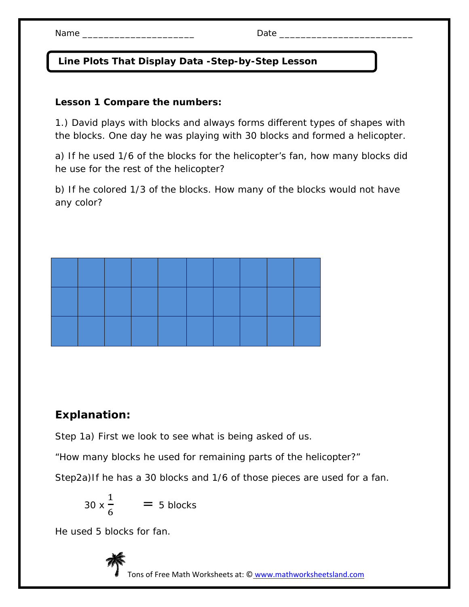## **Line Plots That Display Data -Step-by-Step Lesson**

## **Lesson 1 Compare the numbers:**

1.) David plays with blocks and always forms different types of shapes with the blocks. One day he was playing with 30 blocks and formed a helicopter.

a) If he used 1/6 of the blocks for the helicopter's fan, how many blocks did he use for the rest of the helicopter?

b) If he colored 1/3 of the blocks. How many of the blocks would not have any color?

## **Explanation:**

Step 1a) First we look to see what is being asked of us.

"How many blocks he used for remaining parts of the helicopter?"

Step2a)If he has a 30 blocks and 1/6 of those pieces are used for a fan.

$$
30 \times \frac{1}{6} = 5 \text{ blocks}
$$

He used 5 blocks for fan.



Tons of Free Math Worksheets at: © www.mathworksheetsland.com